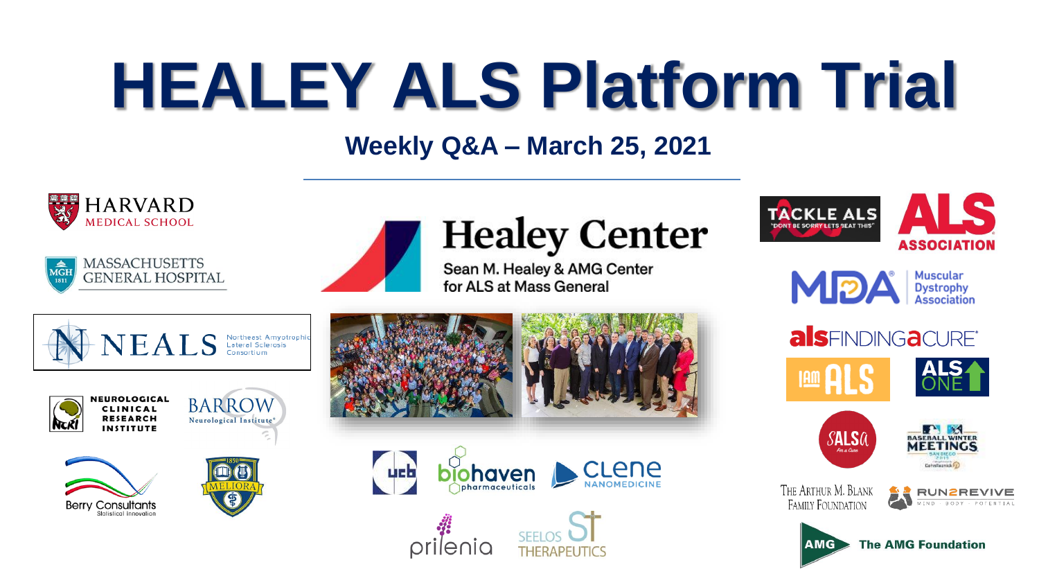# **HEALEY ALS Platform Trial**

#### **Weekly Q&A – March 25, 2021**





# **Healey Center**

Sean M. Healey & AMG Center for ALS at Mass General









**BARROW** Neurological Institute®







**ucb** 





















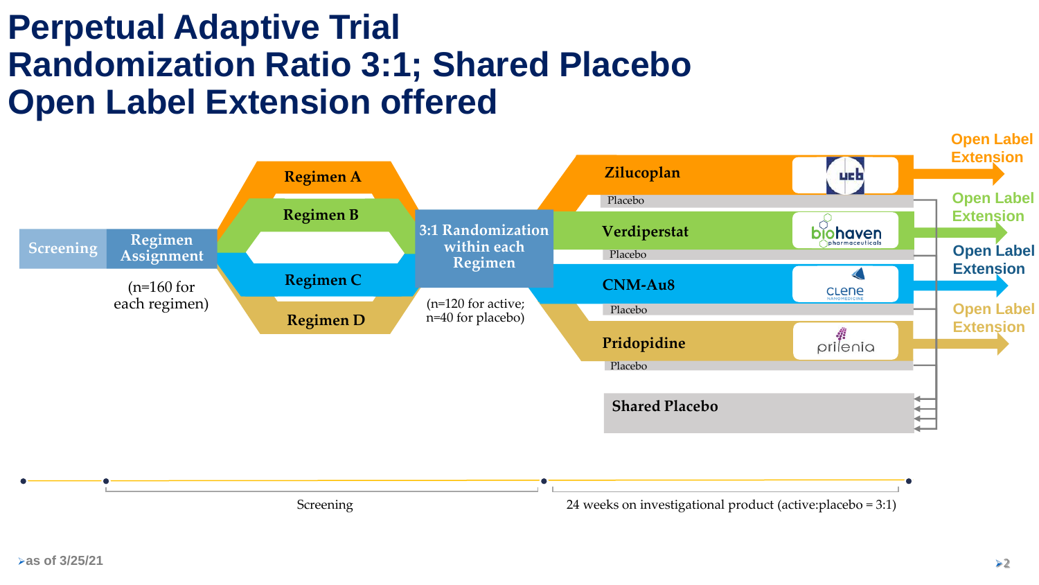#### **Perpetual Adaptive Trial Randomization Ratio 3:1; Shared Placebo Open Label Extension offered**

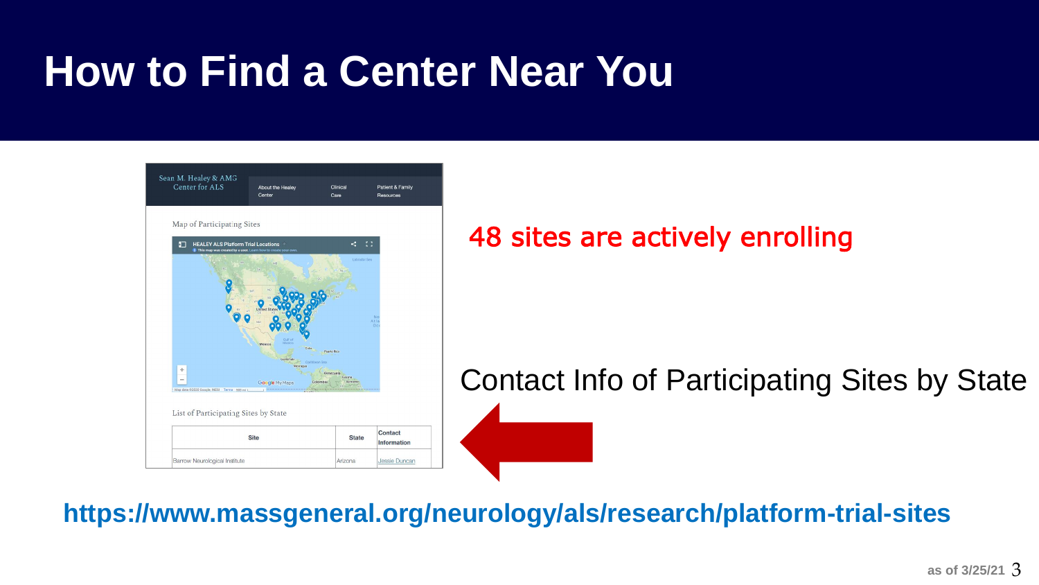### **How to Find a Center Near You**



#### 48 sites are actively enrolling

Contact Info of Participating Sites by State

➢**https://www.massgeneral.org/neurology/als/research/platform-trial-sites**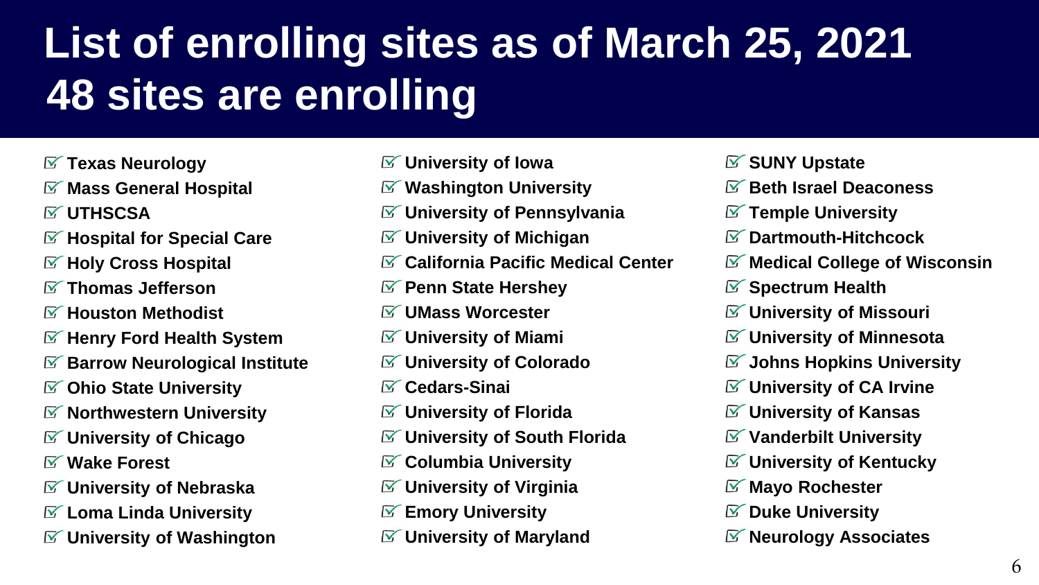# **List of enrolling sites as of March 25, 2021 48 sites are enrolling**

- **Texas Neurology**
- **Mass General Hospital**
- **UTHSCSA**
- **Hospital for Special Care**
- **Holy Cross Hospital**
- **Thomas Jefferson**
- **Houston Methodist**
- **Henry Ford Health System**
- **Barrow Neurological Institute**
- **Ohio State University**
- **Northwestern University**
- **University of Chicago**
- **Wake Forest**
- **University of Nebraska**
- **Loma Linda University**
- **University of Washington**
- **University of Iowa**
- **Washington University**
- **University of Pennsylvania**
- **University of Michigan**
- **California Pacific Medical Center**
- **Penn State Hershey**
- **UMass Worcester**
- **University of Miami**
- **University of Colorado**
- **Cedars-Sinai**
- **University of Florida**
- **University of South Florida**
- **Columbia University**
- **University of Virginia**
- **Emory University**
- **University of Maryland**
- **SUNY Upstate**
- **Beth Israel Deaconess**
- **Temple University**
- **Dartmouth-Hitchcock**
- **Medical College of Wisconsin**
- **Spectrum Health**
- **University of Missouri**
- **University of Minnesota**
- **Johns Hopkins University**
- **University of CA Irvine**
- **University of Kansas**
- **Vanderbilt University**
- **University of Kentucky**
- **Mayo Rochester**
- **Duke University**
- **Neurology Associates**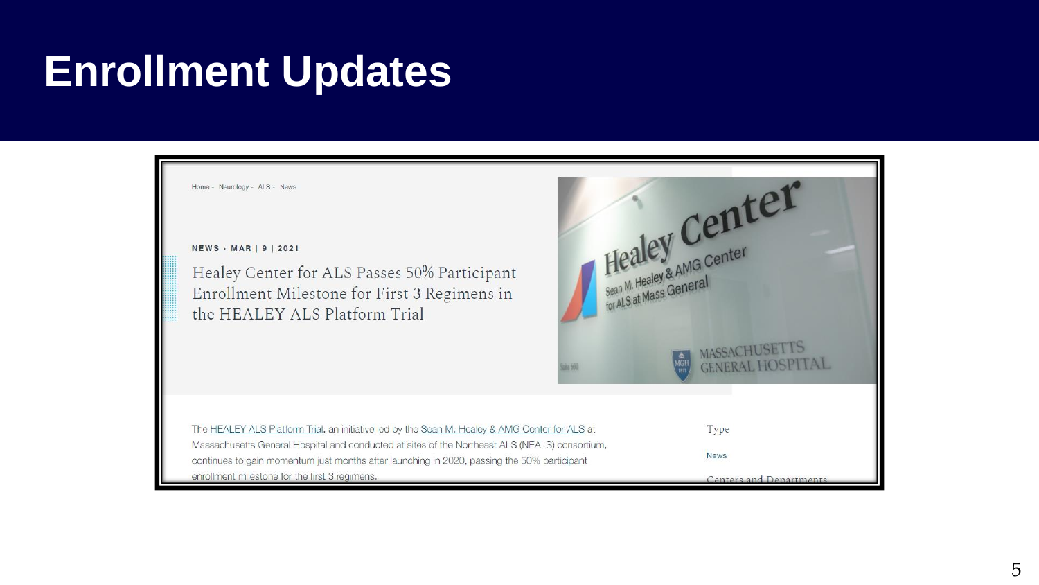### **Enrollment Updates**

Home - Neurology - ALS - News NEWS · MAR | 9 | 2021 Healey Center for ALS Passes 50% Participant Enrollment Milestone for First 3 Regimens in the HEALEY ALS Platform Trial The HEALEY ALS Platform Trial, an initiative led by the Sean M. Healey & AMG Center for ALS at Massachusetts General Hospital and conducted at sites of the Northeast ALS (NEALS) consortium, continues to gain momentum just months after launching in 2020, passing the 50% participant enrollment milestone for the first 3 regimens.



Type

**News** 

Centers and Departments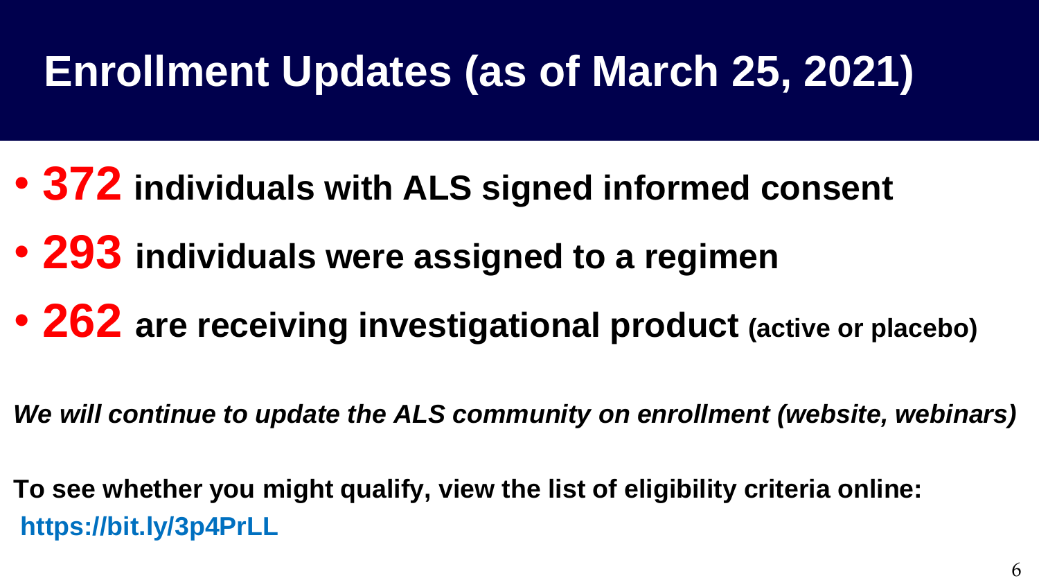# **Enrollment Updates (as of March 25, 2021)**

- **372 individuals with ALS signed informed consent**
- **293 individuals were assigned to a regimen**
- **262 are receiving investigational product (active or placebo)**

*We will continue to update the ALS community on enrollment (website, webinars)*

**To see whether you might qualify, view the list of eligibility criteria online: https://bit.ly/3p4PrLL**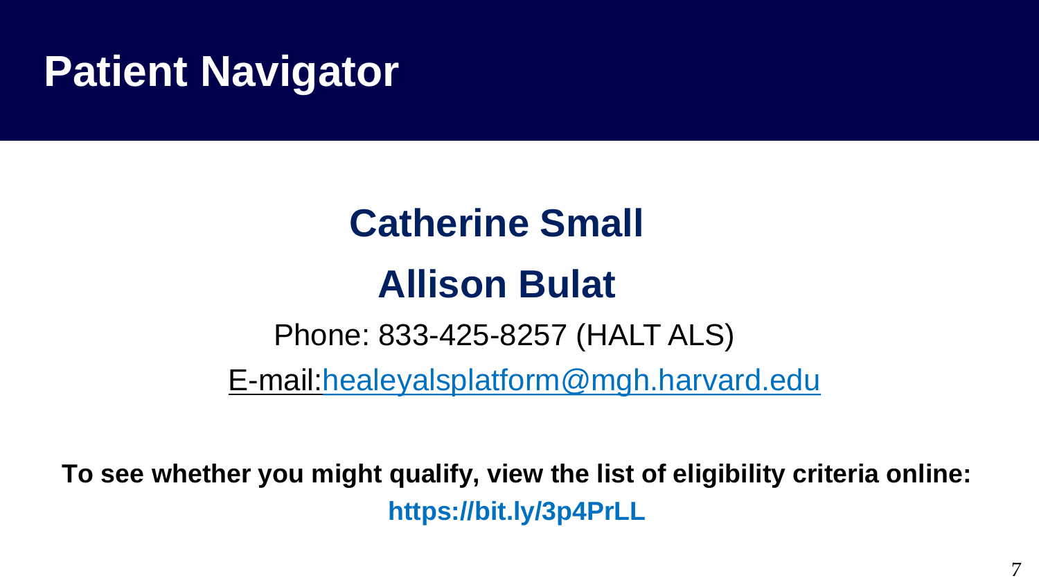### **Patient Navigator**

# Phone: 833-425-8257 (HALT ALS) **Catherine Small Allison Bulat**

[E-mail:healeyalsplatform@mgh.harvard.edu](mailto:healeyalsplatform@mgh.harvard.edu)

**To see whether you might qualify, view the list of eligibility criteria online: https://bit.ly/3p4PrLL**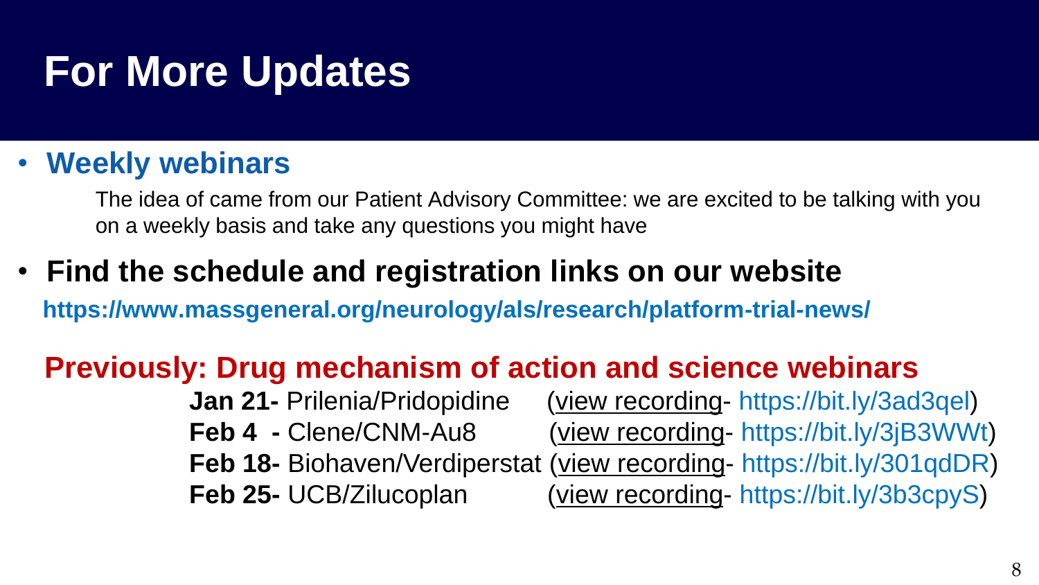### **For More Updates**

#### • **Weekly webinars**

The idea of came from our Patient Advisory Committee: we are excited to be talking with you on a weekly basis and take any questions you might have

• **Find the schedule and registration links on our website https://www.massgeneral.org/neurology/als/research/platform-trial-news/**

#### **Previously: Drug mechanism of action and science webinars**

**Jan 21-** Prilenia/Pridopidine (view recording- https://bit.ly/3ad3qel) **Feb 4 -** Clene/CNM-Au8 (view recording- https://bit.ly/3jB3WWt) **Feb 18-** Biohaven/Verdiperstat (view recording- https://bit.ly/301qdDR) **Feb 25-** UCB/Zilucoplan (view recording- https://bit.ly/3b3cpyS)